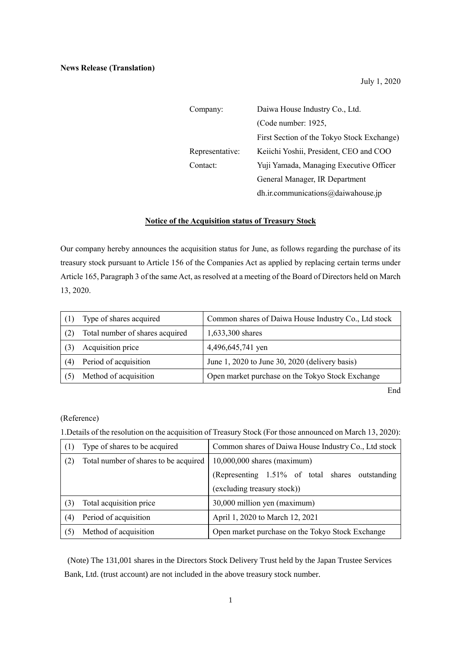| Company:        | Daiwa House Industry Co., Ltd.             |  |
|-----------------|--------------------------------------------|--|
|                 | (Code number: 1925,                        |  |
|                 | First Section of the Tokyo Stock Exchange) |  |
| Representative: | Keiichi Yoshii, President, CEO and COO     |  |
| Contact:        | Yuji Yamada, Managing Executive Officer    |  |
|                 | General Manager, IR Department             |  |
|                 | dh.ir.communications@daiwahouse.jp         |  |

## **Notice of the Acquisition status of Treasury Stock**

Our company hereby announces the acquisition status for June, as follows regarding the purchase of its treasury stock pursuant to Article 156 of the Companies Act as applied by replacing certain terms under Article 165, Paragraph 3 of the same Act, as resolved at a meeting of the Board of Directors held on March 13, 2020.

|     | Type of shares acquired         | Common shares of Daiwa House Industry Co., Ltd stock |
|-----|---------------------------------|------------------------------------------------------|
|     | Total number of shares acquired | 1,633,300 shares                                     |
|     | Acquisition price               | 4,496,645,741 yen                                    |
| (4) | Period of acquisition           | June 1, 2020 to June 30, 2020 (delivery basis)       |
|     | Method of acquisition           | Open market purchase on the Tokyo Stock Exchange     |

End

## (Reference)

1.Details of the resolution on the acquisition of Treasury Stock (For those announced on March 13, 2020):

| (1) | Type of shares to be acquired         | Common shares of Daiwa House Industry Co., Ltd stock |
|-----|---------------------------------------|------------------------------------------------------|
| (2) | Total number of shares to be acquired | $10,000,000$ shares (maximum)                        |
|     |                                       | (Representing 1.51% of total shares outstanding      |
|     |                                       | (excluding treasury stock))                          |
| (3) | Total acquisition price               | 30,000 million yen (maximum)                         |
| (4) | Period of acquisition                 | April 1, 2020 to March 12, 2021                      |
| (5) | Method of acquisition                 | Open market purchase on the Tokyo Stock Exchange     |

(Note) The 131,001 shares in the Directors Stock Delivery Trust held by the Japan Trustee Services Bank, Ltd. (trust account) are not included in the above treasury stock number.